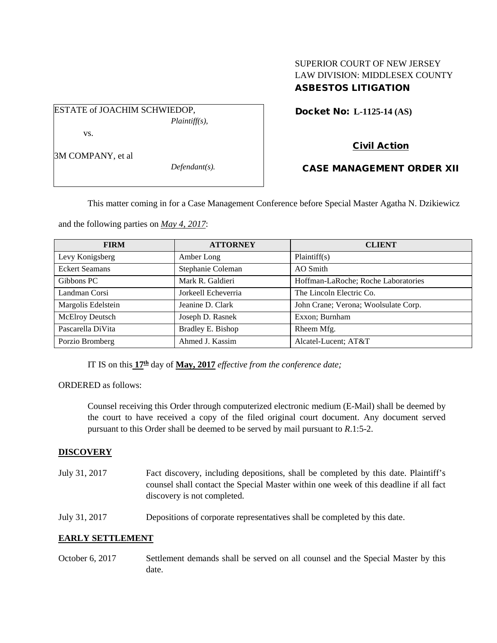# SUPERIOR COURT OF NEW JERSEY LAW DIVISION: MIDDLESEX COUNTY ASBESTOS LITIGATION

Docket No: **L-1125-14 (AS)** 

Civil Action

3M COMPANY, et al

vs.

*Defendant(s).*

*Plaintiff(s),*

# CASE MANAGEMENT ORDER XII

This matter coming in for a Case Management Conference before Special Master Agatha N. Dzikiewicz

and the following parties on *May 4, 2017*:

ESTATE of JOACHIM SCHWIEDOP,

| <b>FIRM</b>            | <b>ATTORNEY</b>     | <b>CLIENT</b>                        |
|------------------------|---------------------|--------------------------------------|
| Levy Konigsberg        | Amber Long          | Plaintiff(s)                         |
| <b>Eckert Seamans</b>  | Stephanie Coleman   | AO Smith                             |
| Gibbons PC             | Mark R. Galdieri    | Hoffman-LaRoche; Roche Laboratories  |
| Landman Corsi          | Jorkeell Echeverria | The Lincoln Electric Co.             |
| Margolis Edelstein     | Jeanine D. Clark    | John Crane; Verona; Woolsulate Corp. |
| <b>McElroy Deutsch</b> | Joseph D. Rasnek    | Exxon; Burnham                       |
| Pascarella DiVita      | Bradley E. Bishop   | Rheem Mfg.                           |
| Porzio Bromberg        | Ahmed J. Kassim     | Alcatel-Lucent; AT&T                 |

IT IS on this **17th** day of **May, 2017** *effective from the conference date;*

ORDERED as follows:

Counsel receiving this Order through computerized electronic medium (E-Mail) shall be deemed by the court to have received a copy of the filed original court document. Any document served pursuant to this Order shall be deemed to be served by mail pursuant to *R*.1:5-2.

## **DISCOVERY**

- July 31, 2017 Fact discovery, including depositions, shall be completed by this date. Plaintiff's counsel shall contact the Special Master within one week of this deadline if all fact discovery is not completed.
- July 31, 2017 Depositions of corporate representatives shall be completed by this date.

## **EARLY SETTLEMENT**

October 6, 2017 Settlement demands shall be served on all counsel and the Special Master by this date.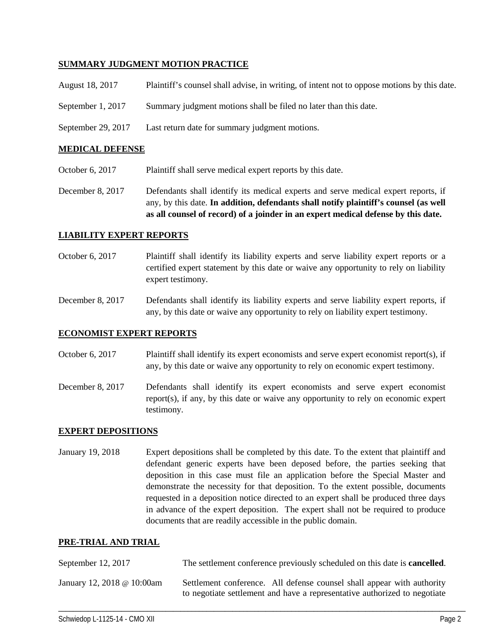### **SUMMARY JUDGMENT MOTION PRACTICE**

| August 18, 2017   | Plaintiff's counsel shall advise, in writing, of intent not to oppose motions by this date. |
|-------------------|---------------------------------------------------------------------------------------------|
| September 1, 2017 | Summary judgment motions shall be filed no later than this date.                            |

September 29, 2017 Last return date for summary judgment motions.

### **MEDICAL DEFENSE**

- October 6, 2017 Plaintiff shall serve medical expert reports by this date.
- December 8, 2017 Defendants shall identify its medical experts and serve medical expert reports, if any, by this date. **In addition, defendants shall notify plaintiff's counsel (as well as all counsel of record) of a joinder in an expert medical defense by this date.**

### **LIABILITY EXPERT REPORTS**

- October 6, 2017 Plaintiff shall identify its liability experts and serve liability expert reports or a certified expert statement by this date or waive any opportunity to rely on liability expert testimony.
- December 8, 2017 Defendants shall identify its liability experts and serve liability expert reports, if any, by this date or waive any opportunity to rely on liability expert testimony.

### **ECONOMIST EXPERT REPORTS**

- October 6, 2017 Plaintiff shall identify its expert economists and serve expert economist report(s), if any, by this date or waive any opportunity to rely on economic expert testimony.
- December 8, 2017 Defendants shall identify its expert economists and serve expert economist report(s), if any, by this date or waive any opportunity to rely on economic expert testimony.

#### **EXPERT DEPOSITIONS**

January 19, 2018 Expert depositions shall be completed by this date. To the extent that plaintiff and defendant generic experts have been deposed before, the parties seeking that deposition in this case must file an application before the Special Master and demonstrate the necessity for that deposition. To the extent possible, documents requested in a deposition notice directed to an expert shall be produced three days in advance of the expert deposition. The expert shall not be required to produce documents that are readily accessible in the public domain.

#### **PRE-TRIAL AND TRIAL**

| September 12, 2017         | The settlement conference previously scheduled on this date is <b>cancelled</b> .                                                                   |
|----------------------------|-----------------------------------------------------------------------------------------------------------------------------------------------------|
| January 12, 2018 @ 10:00am | Settlement conference. All defense counsel shall appear with authority<br>to negotiate settlement and have a representative authorized to negotiate |

\_\_\_\_\_\_\_\_\_\_\_\_\_\_\_\_\_\_\_\_\_\_\_\_\_\_\_\_\_\_\_\_\_\_\_\_\_\_\_\_\_\_\_\_\_\_\_\_\_\_\_\_\_\_\_\_\_\_\_\_\_\_\_\_\_\_\_\_\_\_\_\_\_\_\_\_\_\_\_\_\_\_\_\_\_\_\_\_\_\_\_\_\_\_\_\_\_\_\_\_\_\_\_\_\_\_\_\_\_\_